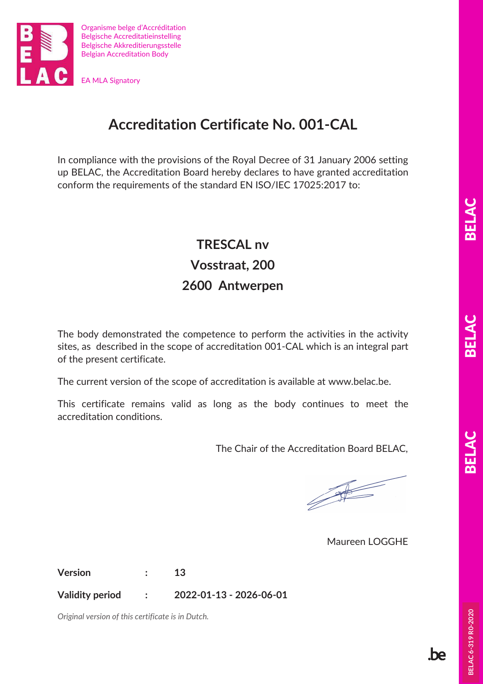

EA MLA Signatory

## **Accreditation Certificate No. 001-CAL**

In compliance with the provisions of the Royal Decree of 31 January 2006 setting up BELAC, the Accreditation Board hereby declares to have granted accreditation conform the requirements of the standard EN ISO/IEC 17025:2017 to:

## **TRESCAL nv Vosstraat, 200 2600 Antwerpen**

The body demonstrated the competence to perform the activities in the activity sites, as described in the scope of accreditation 001-CAL which is an integral part of the present certificate.

The current version of the scope of accreditation is available at www.belac.be.

This certificate remains valid as long as the body continues to meet the accreditation conditions.

The Chair of the Accreditation Board BELAC,

**Contract of the Contract of the Contract of the Contract of The Contract of The Contract of The Contract of The Contract of The Contract of The Contract of The Contract of The Contract of The Contract of The Contract of T** 

Maureen LOGGHE

**Version : 13** 

**Validity period : 2022-01-13 - 2026-06-01** 

*Original version of this certificate is in Dutch.* 

**be**